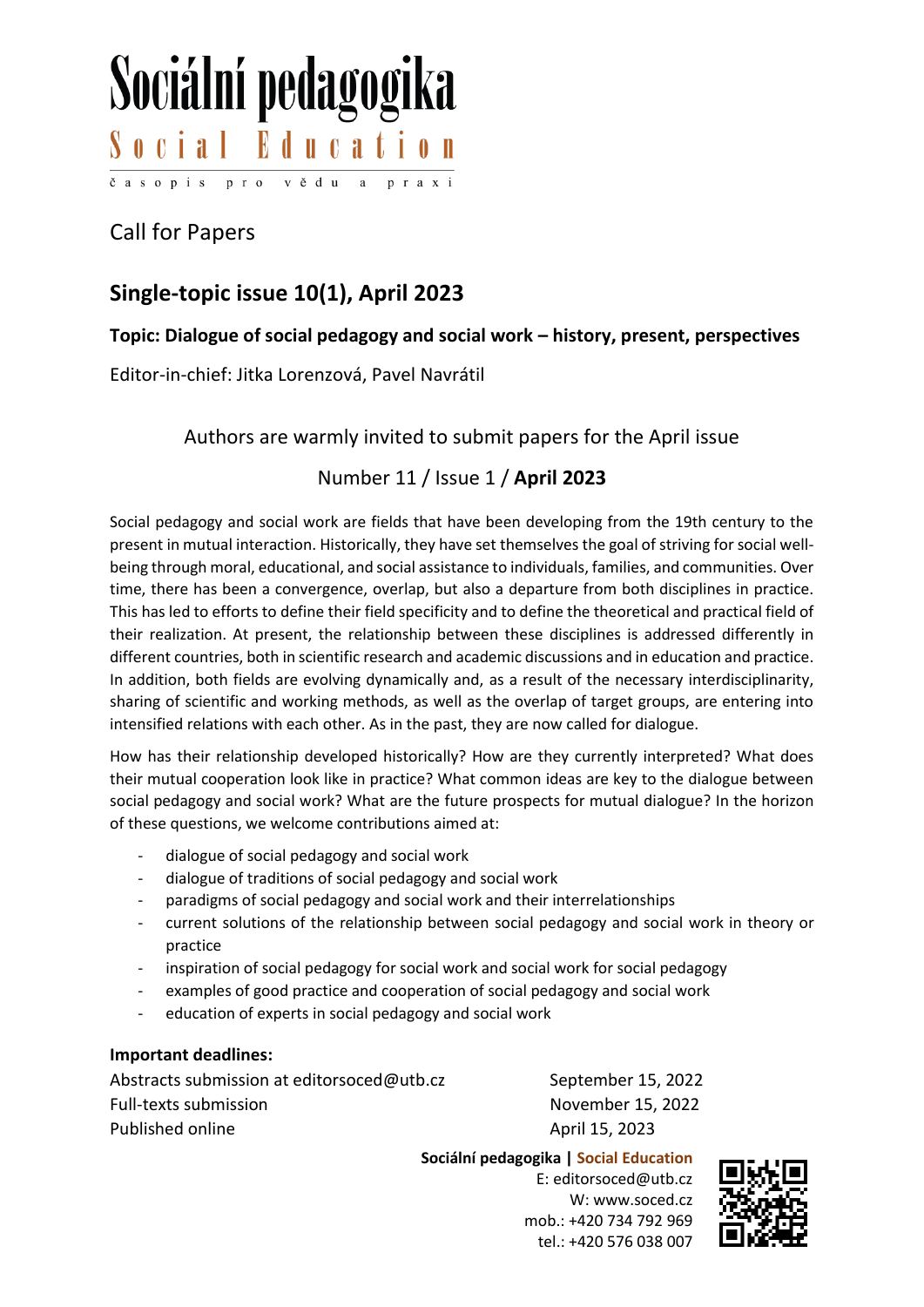# Sociální pedagogika Social Education časopis pro vědu a

## Call for Papers

### **Single-topic issue 10(1), April 2023**

#### **Topic: Dialogue of social pedagogy and social work – history, present, perspectives**

Editor-in-chief: Jitka Lorenzová, Pavel Navrátil

Authors are warmly invited to submit papers for the April issue

#### Number 11 / Issue 1 / **April 2023**

Social pedagogy and social work are fields that have been developing from the 19th century to the present in mutual interaction. Historically, they have set themselves the goal of striving for social wellbeing through moral, educational, and social assistance to individuals, families, and communities. Over time, there has been a convergence, overlap, but also a departure from both disciplines in practice. This has led to efforts to define their field specificity and to define the theoretical and practical field of their realization. At present, the relationship between these disciplines is addressed differently in different countries, both in scientific research and academic discussions and in education and practice. In addition, both fields are evolving dynamically and, as a result of the necessary interdisciplinarity, sharing of scientific and working methods, as well as the overlap of target groups, are entering into intensified relations with each other. As in the past, they are now called for dialogue.

How has their relationship developed historically? How are they currently interpreted? What does their mutual cooperation look like in practice? What common ideas are key to the dialogue between social pedagogy and social work? What are the future prospects for mutual dialogue? In the horizon of these questions, we welcome contributions aimed at:

- dialogue of social pedagogy and social work
- dialogue of traditions of social pedagogy and social work
- paradigms of social pedagogy and social work and their interrelationships
- current solutions of the relationship between social pedagogy and social work in theory or practice
- inspiration of social pedagogy for social work and social work for social pedagogy
- examples of good practice and cooperation of social pedagogy and social work
- education of experts in social pedagogy and social work

#### **Important deadlines:**

Abstracts submission at editorsoced@utb.cz September 15, 2022 Full-texts submission November 15, 2022 Published online April 15, 2023

**Sociální pedagogika | Social Education**

E: editorsoced@utb.cz W: www.soced.cz mob.: +420 734 792 969 tel.: +420 576 038 007